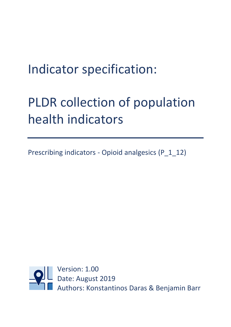# Indicator specification:

# PLDR collection of population health indicators

Prescribing indicators - Opioid analgesics (P\_1\_12)

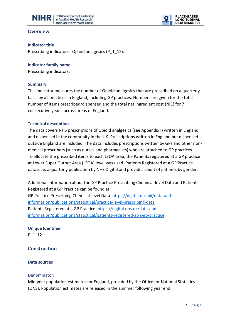



## **Overview**

**Indicator title** 

Prescribing indicators - Opioid analgesics (P\_1\_12).

#### **Indicator family name**

Prescribing indicators.

#### **Summary**

This indicator measures the number of Opioid analgesics that are prescribed on a quarterly basis by all practices in England, including GP practices. Numbers are given for the total number of items prescribed/dispensed and the total net ingredient cost (NIC) for 7 consecutive years, across areas of England.

### **Technical description**

The data covers NHS prescriptions of Opioid analgesics (see Appendix I) written in England and dispensed in the community in the UK. Prescriptions written in England but dispensed outside England are included. The data includes prescriptions written by GPs and other nonmedical prescribers (such as nurses and pharmacists) who are attached to GP practices. To allocate the prescribed items to each LSOA area, the Patients registered at a GP practice at Lower Super Output Area (LSOA) level was used. Patients Registered at a GP Practice dataset is a quarterly publication by NHS Digital and provides count of patients by gender.

Additional information about the GP Practice Prescribing Chemical-level Data and Patients Registered at a GP Practice can be found at:

GP Practice Prescribing Chemical-level Data[: https://digital.nhs.uk/data-and](https://digital.nhs.uk/data-and-information/publications/statistical/practice-level-prescribing-data)[information/publications/statistical/practice-level-prescribing-data](https://digital.nhs.uk/data-and-information/publications/statistical/practice-level-prescribing-data) Patients Registered at a GP Practice[: https://digital.nhs.uk/data-and](https://digital.nhs.uk/data-and-information/publications/statistical/patients-registered-at-a-gp-practice)[information/publications/statistical/patients-registered-at-a-gp-practice](https://digital.nhs.uk/data-and-information/publications/statistical/patients-registered-at-a-gp-practice)

**Unique Identifier** P\_1\_12

## **Construction**

#### **Data sources**

#### Denominator:

Mid-year population estimates for England, provided by the Office for National Statistics (ONS). Population estimates are released in the summer following year end.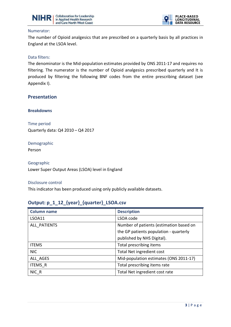



#### Numerator:

The number of Opioid analgesics that are prescribed on a quarterly basis by all practices in England at the LSOA level.

#### Data filters:

The denominator is the Mid-population estimates provided by ONS 2011-17 and requires no filtering. The numerator is the number of Opioid analgesics prescribed quarterly and It is produced by filtering the following BNF codes from the entire prescribing dataset (see Appendix I).

### **Presentation**

**Breakdowns**

Time period Quarterly data: Q4 2010 – Q4 2017

Demographic Person

Geographic Lower Super Output Areas (LSOA) level in England

#### Disclosure control

This indicator has been produced using only publicly available datasets.

## **Output: p\_1\_12\_{year}\_{quarter}\_LSOA.csv**

| <b>Column name</b> | <b>Description</b>                      |  |
|--------------------|-----------------------------------------|--|
| <b>LSOA11</b>      | LSOA code                               |  |
| ALL PATIENTS       | Number of patients (estimation based on |  |
|                    | the GP patients population - quarterly  |  |
|                    | published by NHS Digital).              |  |
| <b>ITEMS</b>       | Total prescribing items                 |  |
| <b>NIC</b>         | <b>Total Net ingredient cost</b>        |  |
| ALL AGES           | Mid-population estimates (ONS 2011-17)  |  |
| <b>ITEMS R</b>     | Total prescribing items rate            |  |
| NIC R              | Total Net ingredient cost rate          |  |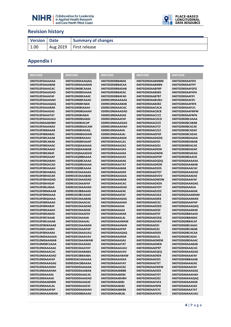



## **Revision history**

| <b>Version Date</b> | <b>Summary of changes</b>           |
|---------------------|-------------------------------------|
| 1.00                | $\sqrt{2}$ Aug 2019   First release |

## **Appendix I**

| <b>BNFCODE</b>  | <b>BNFCODE</b>  | <b>BNFCODE</b>  | <b>BNFCODE</b>  | <b>BNFCODE</b>  |
|-----------------|-----------------|-----------------|-----------------|-----------------|
| 0407010F0AAAAAA | 0407010X0AAAQAQ | 0407020D0BBABAE | 0407020K0AABMBM | 0407020K0AAFEFE |
| 0407010F0AAABAB | 0407010N0AAANAN | 0407020D0BBACAA | 0407020K0AABNBN | 0407020K0AAFFFF |
| 0407010F0AAACAC | 0407010N0BCAAAA | 0407020D0BBADAB | 0407020K0AABPBP | 0407020K0AAFGFG |
| 0407010F0AAADAD | 0407010N0BDAAAA | 0407020D0BBAEAC | 0407020K0AABSBS | 0407020K0AAFHFH |
| 0407010F0AAAFAF | 0407010N0BEAAAE | 0407020D0BBAFAD | 0407020K0AABTBT | 0407020K0AAFIFI |
| 0407010F0AAAHAH | 0407010N0BFAAAH | 0309010N0AAAAAA | 0407020K0AABUBU | 0407020K0AAFJFJ |
| 0407010F0AAAQAQ | 0407010N0BFABAI | 0309010N0AAABAB | 0407020K0AABZBZ | 0407020K0AAFKFK |
| 0407010F0AAARAR | 0407010X0BIAAAH | 0309010N0AAACAC | 0407020K0AACACA | 0407020K0AAFLFL |
| 0407010F0AAASAS | 0407010N0BGAAAH | 0309010N0AAADAD | 0407020K0AACBCB | 0407020K0AAFMFM |
| 0407010F0AAATAT | 0407010X0BIABAI | 0309010N0AAAEAE | 0407020K0AACCCC | 0407020K0AAFNFN |
| 0407010F0AAAUAU | 0407010N0BGABAI | 0309010N0AAAFAF | 0407020K0AACDCD | 0407020K0BCAAAA |
| 0407010X0AABHBH | 0407010X0BIACAP | 0309010N0AAAGAG | 0407020K0AACECE | 0407020K0BCABAB |
| 0407010F0AAAXAX | 0407010N0BGACAM | 0309010N0AAAHAH | 0407020K0AACFCF | 0407020K0BCACAE |
| 0407010F0BBAAAB | 0407010X0BIADAQ | 0309010N0AAAIAI | 0407020K0AACZCZ | 0407020K0BCADAF |
| 0407010F0BBABAC | 0407010N0BGADAN | 0309010N0AAAJAJ | 0407020K0AADFDF | 0407020K0BCAEAG |
| 0407010F0BCAAAB | 0407010X0BXAAAU | 0309010N0AAAKAK | 0407020K0AADGDG | 0407020K0BDAAAA |
| 0407010F0BCABAB | 0407010N0BHAAAP | 0407020K0AAA1A1 | 0407020K0AADIDI | 0407020K0BDABAB |
| 0407010F0BDAAAC | 0407010Q0AAAAAA | 0407020K0AAA2A2 | 0407020K0AADJDJ | 0407020K0BDACAE |
| 0407010F0BEAAAD | 0407010Q0AAABAB | 0407020K0AAA3A3 | 0407020K0AADKDK | 0407020K0BDADAF |
| 0407010F0BEABAF | 0407010Q0AAADAD | 0407020K0AAA4A4 | 0407020K0AADNDN | 0407020K0BDAEAG |
| 0407010F0BGAAAF | 0407010Q0BBAAAA | 0407020K0AAA5A5 | 0407020K0AADPDP | 0407020K0BEAACB |
| 0407010F0BGABAH | 0407010Q0BCAAAA | 0407020K0AAA6A6 | 0407020K0AADQDQ | 0407020G0AAAAAA |
| 0407010F0BGACAD | 0407010Q0BDAAAA | 0407020K0AAA7A7 | 0407020K0AADRDR | 0407020G0AAABAB |
| 0407010F0BHAAAH | 0407010Q0BEAAAA | 0407020K0AAA8A8 | 0407020K0AADSDS | 0407020G0AAACAC |
| 0407010F0BHABAQ | 0309010C0AAAAAA | 0407020K0AAA9A9 | 0407020K0AADTDT | 0407020G0AAADAD |
| 0407010F0BHACAR | 0309010C0AAABAB | 0407020K0AAAAAA | 0407020K0AADVDV | 0407020G0AAAEAE |
| 0407010F0BHADAD | 0309010C0AAADAD | 0407020K0AAABAB | 0407020K0AADWDW | 0407020G0AAAFAF |
| 0407010F0BHAEAF | 0309010C0AAAFAF | 0407020K0AAACAC | 0407020K0AADXDX | 0407020G0AAAGAG |
| 0407010F0BLABAA | 0309010C0AAAHAH | 0407020K0AAADAD | 0407020K0AADYDY | 0407020G0AAAIAI |
| 0407010F0BMAAAB | 0309010C0BBAAAD | 0407020K0AAAEAE | 0407020K0AADZDZ | 0407020G0AAAKAK |
| 0407010F0BNAAAA | 0309010C0BCAAAD | 0407020K0AAAFAF | 0407020K0AAEAEA | 0407020G0AAAMAM |
| 0407010F0BQAAAA | 0407020C0AAABAB | 0407020K0AAAGAG | 0407020K0AAEBEB | 0407020G0AAANAN |
| 0407010F0BRAAAD | 0407020C0AAACAC | 0407020K0AAAHAH | 0407020K0AAECEC | 0407020G0AAAPAP |
| 0407010F0BRABAF | 0407020C0AAADAD | 0407020K0AAAIAI | 0407020K0AAEDED | 0407020G0AAAQAQ |
| 0407010F0BSAAAH | 0407020C0AAAEAE | 0407020K0AAAJAJ | 0407020K0AAEEEE | 0407020G0AAARAR |
| 0407010F0BSABAD | 0407020C0AAAFAF | 0407020K0AAAKAK | 0407020K0AAEFEF | 0407020G0BBAAAD |
| 0407010F0BTAAAB | 0407020C0AAAIAI | 0407020K0AAALAL | 0407020K0AAEGEG | 0407020G0BBABAE |
| 0407010F0BUAAAB | 0407020C0AAAJAJ | 0407020K0AAAMAM | 0407020K0AAEHEH | 0407020G0BBACAF |
| 0407010F0BWAAAB | 0407020C0AAANAN | 0407020K0AAANAN | 0407020K0AAEIEI | 0407020G0BCAAAC |
| 0407010X0CJAABH | 0407020C0AAAPAP | 0407020K0AAAPAP | 0407020K0AAEJEJ | 0407020G0BCABAB |
| 0407010F0BXAAAX | 0407020C0AAAUAU | 0407020K0AAAQAQ | 0407020K0AAEKEK | 0407020G0BCACAA |
| 0407010M0AAAAAA | 0407020C0AAAVAV | 0407020K0AAARAR | 0407020K0AAELEL | 0407020G0BCADAI |
| 0407010M0AAABAB | 0407020C0AAAWAW | 0407020K0AAASAS | 0407020K0AAEMEM | 0407020G0BDAAAC |
| 0407010M0BCAAAA | 0407020C0AAAXAX | 0407020K0AAATAT | 0407020K0AAENEN | 0407020H0AAABAB |
| 0407010N0AAAAAA | 0407020C0AAAYAY | 0407020K0AAAUAU | 0407020K0AAEPEP | 0407020H0AAACAC |
| 0407010N0AAACAC | 0407020C0AABABA | 0407020K0AAAVAV | 0407020K0AAEQEQ | 0407020H0AAADAD |
| 0407010N0AAADAD | 0407020C0BBAABA | 0407020K0AAAWAW | 0407020K0AAERER | 0407020H0AAAFAF |
| 0407010N0AAAFAF | 0309020ACAAAAAA | 0407020K0AAAXAX | 0407020K0AAESES | 0407020H0BBAAAB |
| 0407010N0AAAGAG | 0309020ACBBAAAA | 0407020K0AAAYAY | 0407020K0AAETET | 0407020A0AAAEAE |
| 0407010X0AAAHAH | 0407020D0AAAAAA | 0407020K0AAAZAZ | 0407020K0AAEWEW | 0407020A0AAAFAF |
| 0407010N0AAAHAH | 0407020D0AAABAB | 0407020K0AABBBB | 0407020K0AAEXEX | 0407020A0AAAGAG |
| 0407010X0AAAIAI | 0407020D0AAACAC | 0407020K0AABEBE | 0407020K0AAEYEY | 0407020A0AAAHAH |
| 0407010N0AAAIAI | 0407020D0AAADAD | 0407020K0AABHBH | 0407020K0AAEZEZ | 0407020A0AAAQAQ |
| 0407010X0AABNBN | 0407020D0AAAEAE | 0407020K0AABIBI | 0407020K0AAFAFA | 0407020A0AAARAR |
| 0407010N0AAALAL | 0407020D0AAAFAF | 0407020K0AABJBJ | 0407020K0AAFBFB | 0407020A0AAASAS |
| 0407010X0AAAPAP | 0407020D0AAAHAH | 0407020K0AABKBK | 0407020K0AAFCFC | 0407020A0AAATAT |
| 0407010N0AAAMAM | 0407020D0BBAAAD | 0407020K0AABLBL | 0407020K0AAFDFD | 0407020A0AAAUAU |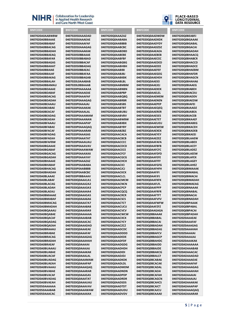## NIHRI

**Collaboration for Leadership** in Applied Health Research and Care North West Coast

040702050AAADAD

040702050AAAFAF

040702050AAAFAF

040702050AAAGAG

040702050AAAKAK

040702050BBAAAF

040702050BBABAD

040702050BBACAF

040702050BBADAG

040702050BBAEAC

040702050BBAFAA

040702050BBAGAB

0407020L0AAABAB

0407020L0BBAAAB

0407020P0AAAAAA

0407020P0AAAEAE

0407020P0AAAFAF

0407020P0AAAGAG

0407020P0AAAJAJ

0407020P0AAAKAK

0407020P0AAALAL

0407020P0AAAMAM

0407020P0AAANAN

0407020P0AAAPAP

0407020P0AAAQAQ

0407020P0AAARAR

0407020P0AAASAS

0407020P0AAATAT

0407020P0AAAUAU

0407020P0AAAVAV

0407020P0AAAXAX

0407020P0AAAYAY

0407020P0AAAZAZ

0407020P0AARARA

0407020P0AABBBB

0407020P0AABCBC

0407020P0BBAAAV

0407020Q0AAA1A1

0407020Q0AAA2A2

0407020Q0AAA3A3

0407020O0AAA4A4

0407020Q0AAA5A5

0407020Q0AAA6A6

0407020Q0AAA7A7

0407020Q0AAA8A8

0407020Q0AAA9A9

0407020Q0AAAAAA

0407020Q0AAABAB

0407020O0AAACAC

0407020O0AAADAD

0407020O0AAAFAF

0407020O0AAAFAF

0407020Q0AAAGAG

0407020Q0AAAHAH

0407020O0AAAIAI

0407020Q0AAAJAJ

0407020Q0AAAKAK

0407020Q0AAALAL

0407020Q0AAAPAP

040702000AAAOAO

0407020Q0AAARAR

0407020O0AAASAS

0407020Q0AAATAT

0407020O0AAAUAU

0407020Q0AAAVAV

0407020Q0AAAXAX

0407020O0AAAWAW

0407020Q0AAAMAM

0407020P0AAAWAW

**RNECODE** 

#### **RNECODE**

0407020A0AABWBW 0407020A0BBAAAF 0407020A0BBABAF 0407020A0BBACAG 0407020A0BBADAH 0407020A0BBAFAO 0407020A0BBAFAR 0407020A0BBAGAS 0407020A0BBAHAT 0407020A0BBAIAE 0407020A0BBAJAF 0407020A0BBAKAG 0407020A0BBALAH 0407020A0BBAMAU 0407020A0BDAAAF 0407020A0BDABAF 0407020A0BDACAG 0407020A0BDADAH 0407020A0BEAAAU 0407020A0BFABAF 0407020A0BFACAF 0407020A0BEADAG **0407020A0REAFAH** 0407020A0BFAAAU 0407020A0BFABAE 0407020A0BFACAF 0407020A0BFADAG 0407020A0BFAEAH 0407020A0BFAFRW 0407020A0BGAAAE 0407020A0BGABAE 0407020A0BGACAG 0407020A0BGADAH 0407020A0BHAAAE 0407020A0BHABAE 0407020A0BHACAG 0407020A0BHADAH 0407020A0BLAAAE 0407020A0BLABAF 0407020A0BLACAG 0407020A0BLADAH 0407020A0BLAFAU 0407020A0BMAAAE 0407020A0BMARAE 0407020A0BMACAG 0407020A0BMADAH 0407020A0BQAAAU 0407020A0BOABAE 0407020A0BQACAF 0407020A0BOADAG 0407020A0BOAFAH 0407020A0BRAAALL 0407020A0BRABAF 0407020A0BRACAG 0407020A0BRADAH 0407020A0BRAFAF 0407020A0BUAAAU 0407020A0BUABAF 0407020A0BUACAF 0407020A0BUADAG 0407020A0BUAEAH 0407020A0BVAAAU 0407020A0BVABAE 0407020A0BVACAF 0407020A0BVADAG 0407020A0BVAEAH 040702050AAAAAA 040702050AAABAB 040702050AAACAC

#### **BNFCODE**

0407020Q0AAAZAZ 0407020O0AABABA 0407020O0AABBBB 040702000AARCRC 0407020O0AABDBD 040702000AARFRF 0407020O0AABFBF 0407020Q0AABGBG 0407020Q0AABHBH 0407020Q0AABIBI 0407020Q0AABJBJ 0407020Q0AABKBK 0407020Q0AABLBL 0407020Q0AABMBM 0407020O0AABNBN 0407020Q0AABPBP 0407020Q0AABQBQ 0407020Q0AABRBR 0407020Q0AABSBS 0407020Q0AABTBT 0407020O0AABUBU 0407020Q0AABVBV 0407020Q0AARWRW 0407020Q0AABXBX 0407020Q0AABYBY 0407020Q0AABZBZ 0407020Q0AACACA 0407020Q0AACBCB 0407020O0AACCCC 0407020Q0AACDCD 0407020O0AACECE 0407020Q0AACFCF 0407020Q0AACGCG 0407020Q0AACHCH 04070200044CICL 0407020Q0AACJCJ 0407020O0AACKCK 0407020Q0AACLCL 0407020Q0AACMCM 0407020Q0AACNCN 0407020Q0AACPCP 0407020Q0AACQCQ 0407020Q0AACRCR 0407020O0AACSCS 0407020Q0AACTCT 0407020Q0AACUCU 0407020Q0AACVCV 0407020Q0AACWCW 0407020O0AACXCX 040702000AACYCY 0407020O0AACZCZ 04070200044DCDC 0407020O0AADDDD 0407020Q0AADEDE 0407020Q0AADFDF 0407020O0AADGDG 0407020Q0AADHDH 0407020Q0AADIDI 0407020Q0AADJDJ 0407020Q0AADKDK 0407020O0AADLDL 040702000AADMDM 0407020Q0AADNDN 0407020O0AADPDP 0407020Q0AADRDR 0407020O0AADSDS 0407020Q0AADTDT 0407020O0AADUDU 0407020Q0AADVDV



**BNFCODE** 

0407020Q0AADWDW

0407020O0AADXDX

0407020O0AADYDY

04070200044D7D7

0407020O0AAEAEA

040702000AAFRFR

0407020Q0AAECEC

0407020Q0AAEDED

0407020Q0AAEEEE

0407020Q0AAEFEF

0407020Q0AAEGEG

0407020O0AAFHFH

0407020Q0AAEIEI

0407020Q0AAEJEJ

0407020Q0AAEKEK

0407020Q0AAELEL

0407020Q0AAEMEM

0407020Q0AAENEN

0407020Q0AAEPEP

0407020Q0AAEQEQ

0407020Q0AAERER

0407020Q0AAESES

0407020O0AAETET

0407020Q0AAEUEU

0407020Q0AAEWEW

0407020Q0AAEXEX

0407020Q0AAEYEY

0407020Q0AAEZEZ

0407020Q0AAFAFA

0407020Q0AAFBFB

0407020Q0AAFCFC

0407020Q0AAFDFD

0407020Q0AAFEFE

0407020Q0AAFFFF

040702000AAFGFG

0407020Q0AAFHFH

0407020O0AAFIFI

0407020Q0AAFJFJ

0407020Q0AAFKFK

0407020Q0AAFLFL

0407020O0AAFPFP

0407020Q0AAFRFR

0407020Q0AAFTFT

0407020Q0AAFVFV

0407020Q0AAFZFZ

0407020Q0AAGAGA

0407020Q0BBAAAK

0407020Q0BBABAL

0407020O0BBACAL

0407020Q0BBADAH

040702000BBAFAG

0407020O0BBAFCV

0407020Q0BBAGCP

0407020Q0BBAHDC

0407020O0BBAIDD

0407020Q0BBAJDE

0407020Q0BBAKCG

0407020Q0BBALCF

0407020Q0BCABA6

0407020O0BCACAK

0407020O0BCADAL

0407020Q0BCAEAI

0407020O0BCAFAH

0407020Q0BCAGCN

0407020O0BCAHCS

0407020Q0BCAICT

0407020O0BCAJCU

0407020Q0BEAAA0

0407020Q0AAFWFW

#### **PLACE-BASED LONGITUDINAI DATA RESOURCE**

#### **BNFCODE**

0407020Q0BEABFJ 0407020Q0BGAAAK 0407020O0BGABAL 040702000BGACAL 0407020Q0BGADAH 040702000BHAACO 0407020O0BHABCR 0407020Q0BHACCD 0407020Q0BHADCE 0407020Q0BHAEBM 0407020Q0BHAFDR 0407020O0BHAGCN 0407020Q0BHAHA6 0407020Q0BIAAEG 0407020O0BIABEH 0407020Q0BIACDU 0407020Q0BIADDV 0407020Q0BIAEDW 0407020Q0BIAFEI 0407020Q0BJAADZ 0407020Q0BJABEA 0407020Q0BJACEB 0407020O0BKAAEF 0407020Q0BKABEG 0407020Q0BKACEH 0407020Q0BKADEB 0407020Q0BKAEEI 0407020Q0BLAAEW 0407020Q0BLABEX 0407020Q0BLACEY 0407020Q0BLADEZ 0407020Q0BLAEEW 0407020Q0BLAFEX 0407020Q0BLAGEY 040702000BLAHEZ 0407020Q0BMAAAK 0407020O0BMABAL 0407020Q0BMACAI 0407020Q0BMADAH 0407020Q0BMAEAG 0407020Q0BNAAAK 0407020Q0BNABAL 0407020Q0BNACAI 0407020Q0BNADAH 0407020Q0BPAAAK 0407020Q0BPABAL 0407020Q0BPACAI 0407020O0BPADAH 0407020Z0AAAEAE **040702070AAAFAF** 0407020Z0AAAGAG **040702070AAAHAH** 0407020Z0AAAIAI 0407020Z0AAAIAI 0407020Z0AAAKAK 0407020ADAAAAAA 0407020ADAAABAB 0407020ADAAACAC 0407020ADAAADAD 0407020ADAAAFAF 0407020ADAAAFAF 0407020ADAAAGAG 0407020ADAAAHAH 0407020ADAAAIAI 0407020ADAAAJAJ 0407020ADAAAKAK 0407020ADAAAPAP 0407020ADAAAOAO 0407020ADAAARAR